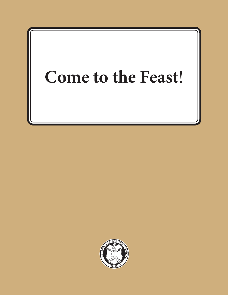# **Come to the Feast**!

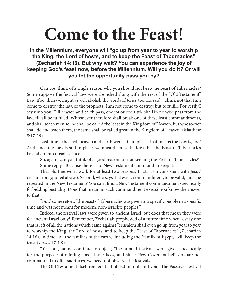# **Come to the Feast**!

## **In the Millennium, everyone will "go up from year to year to worship the King, the Lord of hosts, and to keep the Feast of Tabernacles" (Zechariah 14:16). But why wait? You can experience the joy of keeping God's feast now, before the Millennium. Will you do it? Or will you let the opportunity pass you by?**

Can you think of a single reason why you should not keep the Feast of Tabernacles? Some suppose the festival laws were abolished along with the rest of the "Old Testament" Law. If so, then we might as well abolish the words of Jesus, too. He said: "Think not that I am come to destroy the law, or the prophets: I am not come to destroy, but to fulfill. For verily I say unto you, Till heaven and earth pass, one jot or one tittle shall in no wise pass from the law, till all be fulfilled. Whosoever therefore shall break one of these least commandments, and shall teach men so, he shall be called the least in the Kingdom of Heaven: but whosoever shall do and teach them, the same shall be called great in the Kingdom of Heaven" (Matthew 5:17-19).

Last time I checked, heaven and earth were still in place. That means the Law is, too! And since the Law is still in place, we must dismiss the idea that the Feast of Tabernacles has fallen into obsolescence.

So, again, can you think of a good reason for not keeping the Feast of Tabernacles? Some reply, "Because there is no New Testament command to keep it."

That old line won't work for at least two reasons. First, it's inconsistent with Jesus' declaration (quoted above). Second, who says that every commandment, to be valid, must be repeated in the New Testament? You can't find a New Testament commandment specifically forbidding bestiality. Does that mean no such commandment exists? You know the answer to that!

"But," some retort, "the Feast of Tabernacles was given to a specific people in a specific time and was not meant for modem, non-Israelite peoples."

Indeed, the festival laws were given to ancient Israel, but does that mean they were for ancient Israel only? Remember, Zechariah prophesied of a future time when "every one that is left of all the nations which came against Jerusalem shall even go up from year to year to worship the King, the Lord of hosts, and to keep the Feast of Tabernacles" (Zechariah 14:16). In time, "all the families of the earth," including the "family of Egypt," will keep the feast (verses 17-1 9).

"Yes, but," some continue to object, "the annual festivals were given specifically for the purpose of offering special sacrifices, and since New Covenant believers are not commanded to offer sacrifices, we need not observe the festivals."

The Old Testament itself renders that objection null and void. The Passover festival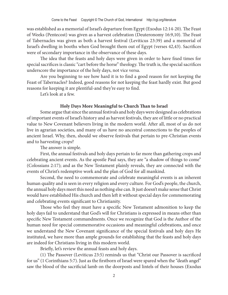was established as a memorial of Israel's departure from Egypt (Exodus 12:14-20). The Feast of Weeks (Pentecost) was given as a harvest celebration (Deuteronomy 16:9,10). The Feast of Tabernacles was given as both a harvest festival (Leviticus 23:39) and a memorial of Israel's dwelling in booths when God brought them out of Egypt (verses 42,43). Sacrifices were of secondary importance in the observance of these days.

The idea that the feasts and holy days were given in order to have fixed times for special sacrifices is classic "cart before the horse" theology. The truth is, the special sacrifices underscore the importance of the holy days, not vice versa.

Are you beginning to see how hard it is to find a good reason for not keeping the Feast of Tabernacles? Indeed, good reasons for not keeping the feast hardly exist. But good reasons for keeping it are plentiful-and they're easy to find.

Let's look at a few.

#### **Holy Days More Meaningful to Church Than to Israel**

Some argue that since the annual festivals and holy days were designed as celebrations of important events of Israel's history and as harvest festivals, they are of little or no practical value to New Covenant believers living in the modern world. After all, most of us do not live in agrarian societies, and many of us have no ancestral connections to the peoples of ancient Israel. Why, then, should we observe festivals that pertain to pre-Christian events and to harvesting crops?

The answer is simple.

First, the annual festivals and holy days pertain to far more than gathering crops and celebrating ancient events. As the apostle Paul says, they are "a shadow of things to come" (Colossians 2:17); and as the New Testament plainly reveals, they are connected with the events of Christ's redemptive work and the plan of God for all mankind.

Second, the need to commemorate and celebrate meaningful events is an inherent human quality and is seen in every religion and every culture. For God's people, the church, the annual holy days meet this need as nothing else can. It just doesn't make sense that Christ would have established His church and then left it without special days for commemorating and celebrating events significant to Christianity.

Those who feel they must have a specific New Testament admonition to keep the holy days fail to understand that God's will for Christians is expressed in means other than specific New Testament commandments. Once we recognize that God is the Author of the human need for special commemorative occasions and meaningful celebrations, and once we understand the New Covenant significance of the special festivals and holy days He instituted, we have more than ample grounds for establishing that the feasts and holy days are indeed for Christians living in this modern world.

Briefly, let's review the annual feasts and holy days.

(1) The Passover (Leviticus 23:5) reminds us that "Christ our Passover is sacrificed for us" (1 Corinthians 5:7). Just as the firstborn of Israel were spared when the "death angel" saw the blood of the sacrificial lamb on the doorposts and lintels of their houses (Exodus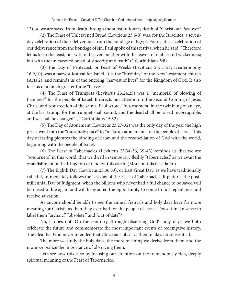12), so we are saved from death through the substitutionary death of "Christ our Passover."

(2) The Feast of Unleavened Bread (Leviticus 23:6-8) was, for the Israelites, a sevenday celebration of their deliverance from the bondage of Egypt. For us, it is a celebration of our deliverance from the bondage of sin. Paul spoke of this festival when he said, "Therefore let us keep the feast, not with old leaven, neither with the leaven of malice and wickedness; but with the unleavened bread of sincerity and truth" (1 Corinthians 5:8).

(3) The Day of Pentecost, or Feast of Weeks (Leviticus 23:15-21; Deuteronomy 16:9,10), was a harvest festival for Israel. It is the "birthday" of the New Testament church (Acts 2), and reminds us of the ongoing "harvest of lives" for the Kingdom of God. It also tells us of a much greater fume "harvest."

(4) The Feast of Trumpets (Leviticus 23:24,25) was a "memorial of blowing of trumpets" for the people of Israel. It directs our attention to the Second Coming of Jesus Christ and resurrection of the saints. Paul wrote, "In a moment, in the twinkling of an eye, at the last trump: for the trumpet shall sound, and the dead shall be raised incorruptible, and we shall be changed" (1 Corinthians 15:52).

(5) The Day of Atonement (Leviticus 23:27-32) was the only day of the year the high priest went into the "most holy place" to "make an atonement" for the people of Israel. This day of fasting pictures the binding of Satan and the reconciliation of God with the world, beginning with the people of Israel.

(6) The Feast of Tabernacles (Leviticus 23:34-36, 39-43) reminds us that we are "sojourners" in this world, that we dwell in temporary fleshly "tabernacles," as we await the establishment of the Kingdom of God on this earth. (More on this feast later.)

(7) The Eighth Day (Leviticus 23:36,39), or Last Great Day, as we have traditionally called it, immediately follows the last day of the Feast of Tabernacles. It pictures the postmillennial Day of Judgment, when the billions who never had a full chance to be saved will be raised to life again and will be granted the opportunity to come to full repentance and receive salvation.

As anyone should be able to see, the annual festivals and holy days have far more meaning for Christians than they ever had for the people of Israel. Does it make sense to label them "archaic," "obsolete," and "out of date"?

No, it does not! On the contrary, through observing God's holy days, we both celebrate the future and commemorate the most important events of redemptive history. The idea that God never intended that Christians observe them makes no sense at all.

The more we study the holy days, the more meaning we derive from them-and the more we realize the importance of observing them.

Let's see how this is so by focusing our attention on the tremendously rich, deeply spiritual meaning of the Feast of Tabernacles.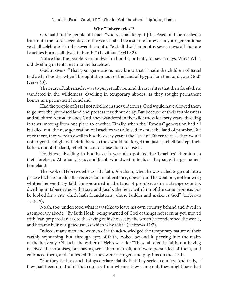### **Why "Tabernacles"?**

God said to the people of Israel: "And ye shall keep it [the-Feast of Tabernacles] a feast unto the Lord seven days in the year. It shall be a statute for ever in your generations: ye shall celebrate it in the seventh month. Ye shall dwell in booths seven days; all that are Israelites born shall dwell in booths" (Leviticus 23:41,42).

Notice that the people were to dwell in booths, or tents, for seven days. Why? What did dwelling in tents mean to the Israelites?

God answers: "That your generations may know that I made the children of Israel to dwell in booths, when I brought them out of the land of Egypt: I am the Lord your God" (verse 43).

The Feast of Tabernacles was to perpetually remind the Israelites that their forefathers wandered in the wilderness, dwelling in temporary abodes, as they sought permanent homes in a permanent homeland.

Had the people of Israel not rebelled in the wilderness, God would have allowed them to go into the promised land and possess it without delay. But because of their faithlessness and stubborn refusal to obey God, they wandered in the wilderness for forty years, dwelling in tents, moving from one place to another. Finally, when the "Exodus" generation had all but died out, the new generation of Israelites was allowed to enter the land of promise. But once there, they were to dwell in booths every year at the Feast of Tabernacles so they would not forget the plight of their fathers-so they would not forget that just as rebellion kept their fathers out of the land, rebellion could cause them to lose it.

Doubtless, dwelling in booths each year also pointed the Israelites' attention to their forebears-Abraham, Isaac, and Jacob-who dwelt in tents as they sought a permanent homeland.

The book of Hebrews tells us: "By faith, Abraham, when he was called to go out into a place which he should after receive for an inheritance, obeyed; and he went out, not knowing whither he went. By faith he sojourned in the land of promise, as in a strange country, dwelling in tabernacles with Isaac and Jacob, the heirs with him of the same promise: For he looked for a city which hath foundations, whose builder and maker is God" (Hebrews 11:8-19).

Noah, too, understood what it was like to leave his own country behind and dwell in a temporary abode. "By faith Noah, being warned of God of things not seen as yet, moved with fear, prepared an ark to the saving of his house; by the which he condemned the world, and became heir of righteousness which is by faith" (Hebrews 11:7).

Indeed, many men and women of faith acknowledged the temporary nature of their earthly sojourning, but, through eyes of faith, looked beyond it, peering into the realm of the heavenly. Of such, the writer of Hebrews said: "These all died in faith, not having received the promises, but having seen them afar off, and were persuaded of them, and embraced them, and confessed that they were strangers and pilgrims on the earth.

"For they that say such things declare plainly that they seek a country. And truly, if they had been mindful of that country from whence they came out, they might have had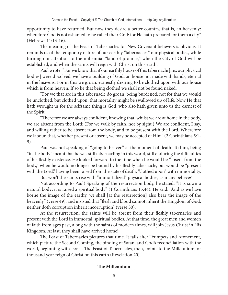opportunity to have returned. But now they desire a better country, that is, an heavenly: wherefore God is not ashamed to be called their God: for He hath prepared for them a city" (Hebrews 11:13-16).

The meaning of the Feast of Tabernacles for New Covenant believers is obvious. It reminds us of the temporary nature of our earthly "tabernacles," our physical bodies, while turning our attention to the millennial "land of promise," when the City of God will be established, and when the saints will reign with Christ on this earth.

Paul wrote: "For we know that if our earthly house of this tabernacle [i.e., our physical bodies] were dissolved, we have a building of God, an house not made with hands, eternal in the heavens. For in this we groan, earnestly desiring to be clothed upon with our house which is from heaven: If so be that being clothed we shall not be found naked.

"For we that are in this tabernacle do groan, being burdened: not for that we would be unclothed, but clothed upon, that mortality might be swallowed up of life. Now He that hath wrought us for the selfsame thing is God, who also hath given unto us the earnest of the Spirit.

"Therefore we are always confident, knowing that, whilst we are at home in the body, we are absent from the Lord: (For we walk by faith, not by sight:) We are confident, I say, and willing rather to be absent from the body, and to be present with the Lord. Wherefore we labour, that, whether present or absent, we may be accepted of Him" (2 Corinthians 5:1- 9).

Paul was not speaking of "going to heaven" at the moment of death. To him, being "in the body" meant that he was still tabernacling in this world, still enduring the difficulties of his fleshly existence. He looked forward to the time when he would be "absent from the body," when he would no longer be bound by his fleshly tabernacle, but would be "present with the Lord," having been raised from the state of death, "clothed upon" with immortality.

But won't the saints rise with "immortalized" physical bodies, as many believe?

Not according to Paul! Speaking of the resurrection body, he stated, "It is sown a natural body; it is raised a spiritual body" (1 Corinthians 15:44). He said, "And as we have borne the image of the earthy, we shall [at the resurrection] also bear the image of the heavenly" (verse 49), and insisted that "flesh and blood cannot inherit the Kingdom of God; neither doth corruption inherit incorruption" (verse 30).

At the resurrection, the saints will be absent from their fleshly tabernacles and present with the Lord in immortal, spiritual bodies. At that time, the great men and women of faith from ages past, along with the saints of modern times, will join Jesus Christ in His Kingdom. At last, they shall have arrived home!

The Feast of Tabernacles pictures that time. It falls after Trumpets and Atonement, which picture the Second Coming, the binding of Satan, and God's reconciliation with the world, beginning with Israel. The Feast of Tabernacles, then, points to the Millennium, or thousand year reign of Christ on this earth (Revelation 20).

#### **The Millennium**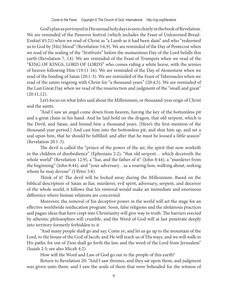God's plan as portrayed in His annual holy days is seen clearly in the book of Revelation. We are reminded of the Passover festival (which includes the Feast of Unleavened Bread-Ezekiel 45:21) when we read of Christ as "a Lamb as it had been slain" and who "redeemed us to God by [His] blood" (Revelation 5:6,9). We are reminded of the Day of Pentecost when we read of the sealing of the "firstfruits" before the momentous Day of the Lord befalls this earth (Revelation 7, 14). We are reminded of the Feast of Trumpets when we read of the "KING OF KINGS, LORD OF LORDS" who comes riding a white horse, with the armies of heaven following Him (19:11-16). We are reminded of the Day of Atonement when we read of the binding of Satan (20:1-3). We are reminded of the Feast of Tabernacles when we read of the saints reigning with Christ for "a thousand years" (20:4,5). We are reminded of the Last Great Day when we read of the resurrection and judgment of the "small and great" (20:11,12).

Let's focus on what John said about the Millennium, or thousand-year reign of Christ and the saints.

"And I saw an angel come down from heaven, having the key of the bottomless pit and a great chain in his hand. And he laid hold on the dragon, that old serpent, which is the Devil, and Satan, and bound him a thousand years. [Here's the first mention of the thousand-year period.] And cast him into the bottomless pit, and shut him up, and set a seal upon him, that he should be fulfilled: and after that he must be loosed a little season" (Revelation 20:1-3).

The devil is called the "prince of the power of the air, the spirit that now worketh in the children of disobedience" (Ephesians 2:2), "that old serpent… which deceiveth the whole world" (Revelation 12:9), a "liar, and the father of it" (John 8:44), a "murderer from the beginning" (John 8:44), and "your adversary…as a roaring lion, walking about, seeking whom he may devour" (I Peter 5:8).

Think of it! The devil will be locked away during the Millennium. Based on the biblical description of Satan as liar, murderer, evil spirit, adversary, serpent, and deceiver of the whole world, it follows that his removal would make an immediate and enormous difference where human relations are concerned.

Moreover, the removal of his deceptive power in the world will set the stage for an effective worldwide reeducation program. Soon, false religions and the idolatrous practices and pagan ideas that have crept into Christianity will give way to truth. The barriers erected by atheistic philosophies will crumble, and the Word of God will at last penetrate deeply into territory formerly forbidden to it.

"And many people shall go and say, Come ye, and let us go up to the mountain of the Lord, to the house of the God of Jacob; and He will teach us of His ways, and we will walk in His paths: for out of Zion shall go forth the law, and the word of the Lord from Jerusalem" (Isaiah 2:3; see also Micah 4:2).

How will the Word and Law of God go out to the people of this earth?

Return to Revelation 20: "And I saw thrones, and they sat upon them, and judgment was given unto them: and I saw the souls of them that were beheaded for the witness of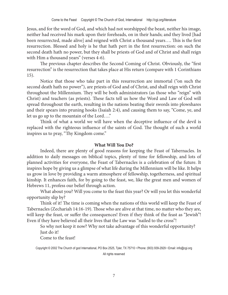Jesus, and for the word of God, and which had not worshipped the beast, neither his image, neither had received his mark upon their foreheads, on in their hands; and they lived [had been resurrected, made alive] and reigned with Christ a thousand years…. This is the first resurrection. Blessed and holy is he that hath pert in the first resurrection: on such the second death hath no power, but they shall be priests of God and of Christ and shall reign with Him a thousand years" (verses 4-6).

The previous chapter describes the Second Coming of Christ. Obviously, the "first resurrection" is the resurrection that takes place at His return (compare with 1 Corinthians 15).

Notice that those who take part in this resurrection are immortal ("on such the second death hath no power"), are priests of God and of Christ, and shall reign with Christ throughout the Millennium. They will be both administrators (as those who "reign" with Christ) and teachers (as priests). These facts tell us how the Word and Law of God will spread throughout the earth, resulting in the nations beating their swords into plowshares and their spears into pruning hooks (Isaiah 2:4), and causing them to say, "Come, ye, and let us go up to the mountain of the Lord…."

Think of what a world we will have when the deceptive influence of the devil is replaced with the righteous influence of the saints of God. The thought of such a world inspires us to pray, "Thy Kingdom come."

#### **What Will You Do?**

Indeed, there are plenty of good reasons for keeping the Feast of Tabernacles. In addition to daily messages on biblical topics, plenty of time for fellowship, and lots of planned activities for everyone, the Feast of Tabernacles is a celebration of the future. It inspires hope by giving us a glimpse of what life during the Millennium will be like. It helps us grow in love by providing a warm atmosphere of fellowship, togetherness, and spiritual kinship. It enhances faith, for by going to the feast, we, like the great men and women of Hebrews 11, profess our belief through action.

What about you? Will you come to the feast this year? Or will you let this wonderful opportunity slip by?

Think of it! The time is coming when the nations of this world will keep the Feast of Tabernacles (Zechariah 14:16-19). Those who are alive at that time, no matter who they are, will keep the feast, or suffer the consequences! Even if they think of the feast as "Jewish"! Even if they have believed all their lives that the Law was "nailed to the cross"!

So why not keep it now? Why not take advantage of this wonderful opportunity? Just do it!

Come to the feast!

Copyright © 2002 The Church of god International, PO Box 2525, Tyler, TX 75710 • Phone: (903) 939-2929 • Email: info@cgi.org All rights reserved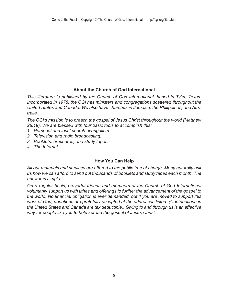### **About the Church of God International**

*This literature is published by the Church of God International, based in Tyler, Texas. Incorporated in 1978, the CGI has ministers and congregations scattered throughout the United States and Canada. We also have churches in Jamaica, the Philippines, and Australia.* 

*The CGI's mission is to preach the gospel of Jesus Christ throughout the world (Matthew 28:19). We are blessed with four basic tools to accomplish this:* 

- *1. Personal and local church evangelism.*
- *2. Television and radio broadcasting.*
- *3. Booklets, brochures, and study tapes.*
- *4. The Internet.*

#### **How You Can Help**

*All our materials and services are offered to the public free of charge. Many naturally ask us how we can afford to send out thousands of booklets and study tapes each month. The answer is simple.* 

*On a regular basis, prayerful friends and members of the Church of God International voluntarily support us with tithes and offerings to further the advancement of the gospel to the world. No financial obligation is ever demanded, but if you are moved to support this work of God, donations are gratefully accepted at the addresses listed. (Contributions in the United States and Canada are tax deductible.) Giving to and through us is an effective way for people like you to help spread the gospel of Jesus Christ.*